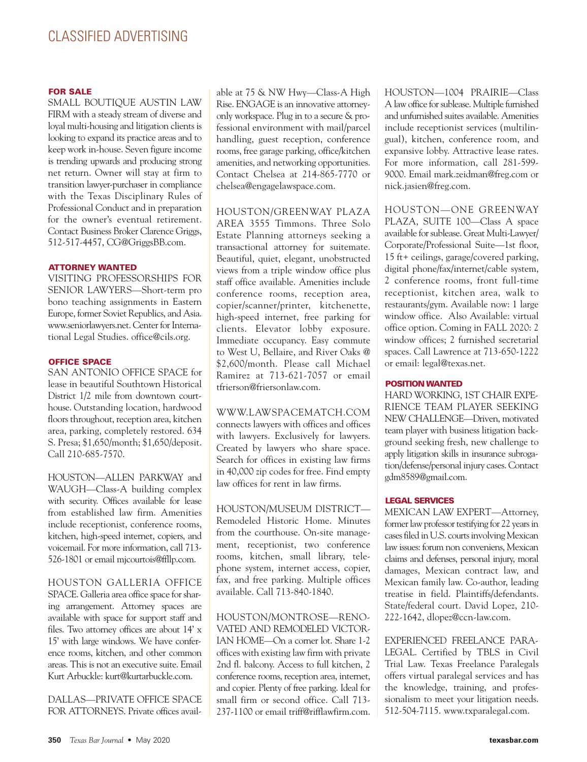#### **FOR SALE**

SMALL BOUTIQUE AUSTIN LAW FIRM with a steady stream of diverse and loyal multi-housing and litigation clients is looking to expand its practice areas and to keep work in-house. Seven figure income is trending upwards and producing strong net return. Owner will stay at firm to transition lawyer-purchaser in compliance with the Texas Disciplinary Rules of Professional Conduct and in preparation for the owner's eventual retirement. Contact Business Broker Clarence Griggs, 512-517-4457, CG@GriggsBB.com.

#### **ATTORNEY WANTED**

VISITING PROFESSORSHIPS FOR SENIOR LAWYERS—Short-term pro bono teaching assignments in Eastern Europe, former Soviet Republics, and Asia. www.seniorlawyers.net. Center for International Legal Studies. office@cils.org.

#### **OFFICE SPACE**

SAN ANTONIO OFFICE SPACE for lease in beautiful Southtown Historical District 1/2 mile from downtown courthouse. Outstanding location, hardwood floors throughout, reception area, kitchen area, parking, completely restored. 634 S. Presa; \$1,650/month; \$1,650/deposit. Call 210-685-7570.

HOUSTON—ALLEN PARKWAY and WAUGH—Class-A building complex with security. Offices available for lease from established law firm. Amenities include receptionist, conference rooms, kitchen, high-speed internet, copiers, and voicemail. For more information, call 713- 526-1801 or email mjcourtois@ffllp.com.

HOUSTON GALLERIA OFFICE SPACE. Galleria area office space for sharing arrangement. Attorney spaces are available with space for support staff and files. Two attorney offices are about 14' x 15' with large windows. We have conference rooms, kitchen, and other common areas. This is not an executive suite. Email Kurt Arbuckle: kurt@kurtarbuckle.com.

DALLAS—PRIVATE OFFICE SPACE FOR ATTORNEYS. Private offices available at 75 & NW Hwy—Class-A High Rise. ENGAGE is an innovative attorneyonly workspace. Plug in to a secure & professional environment with mail/parcel handling, guest reception, conference rooms, free garage parking, office/kitchen amenities, and networking opportunities. Contact Chelsea at 214-865-7770 or chelsea@engagelawspace.com.

#### HOUSTON/GREENWAY PLAZA

AREA 3555 Timmons. Three Solo Estate Planning attorneys seeking a transactional attorney for suitemate. Beautiful, quiet, elegant, unobstructed views from a triple window office plus staff office available. Amenities include conference rooms, reception area, copier/scanner/printer, kitchenette, high-speed internet, free parking for clients. Elevator lobby exposure. Immediate occupancy. Easy commute to West U, Bellaire, and River Oaks @ \$2,600/month. Please call Michael Ramirez at 713-621-7057 or email tfrierson@friersonlaw.com.

#### WWW.LAWSPACEMATCH.COM connects lawyers with offices and offices

with lawyers. Exclusively for lawyers. Created by lawyers who share space. Search for offices in existing law firms in 40,000 zip codes for free. Find empty law offices for rent in law firms.

HOUSTON/MUSEUM DISTRICT— Remodeled Historic Home. Minutes from the courthouse. On-site management, receptionist, two conference rooms, kitchen, small library, telephone system, internet access, copier, fax, and free parking. Multiple offices available. Call 713-840-1840.

HOUSTON/MONTROSE—RENO-VATED AND REMODELED VICTOR-IAN HOME—On a corner lot. Share 1-2 offices with existing law firm with private 2nd fl. balcony. Access to full kitchen, 2 conference rooms, reception area, internet, and copier. Plenty of free parking. Ideal for small firm or second office. Call 713- 237-1100 or email triff@rifflawfirm.com. HOUSTON—1004 PRAIRIE—Class A lawoffice forsublease. Multiple furnished and unfurnished suites available. Amenities include receptionist services (multilingual), kitchen, conference room, and expansive lobby. Attractive lease rates. For more information, call 281-599- 9000. Email mark.zeidman@freg.com or nick.jasien@freg.com.

HOUSTON—ONE GREENWAY PLAZA, SUITE 100—Class A space available for sublease. Great Multi-Lawyer/ Corporate/Professional Suite—1st floor, 15 ft+ ceilings, garage/covered parking, digital phone/fax/internet/cable system, 2 conference rooms, front full-time receptionist, kitchen area, walk to restaurants/gym. Available now: 1 large window office. Also Available: virtual office option. Coming in FALL 2020: 2 window offices; 2 furnished secretarial spaces. Call Lawrence at 713-650-1222 or email: legal@texas.net.

#### **POSITION WANTED**

HARD WORKING, 1ST CHAIR EXPE-RIENCE TEAM PLAYER SEEKING NEW CHALLENGE—Driven, motivated team player with business litigation background seeking fresh, new challenge to apply litigation skills in insurance subrogation/defense/personal injury cases. Contact gdm8589@gmail.com.

#### **LEGAL SERVICES**

MEXICAN LAW EXPERT—Attorney, former law professor testifying for 22 years in cases filed in U.S. courts involving Mexican law issues: forum non conveniens, Mexican claims and defenses, personal injury, moral damages, Mexican contract law, and Mexican family law. Co-author, leading treatise in field. Plaintiffs/defendants. State/federal court. David Lopez, 210- 222-1642, dlopez@ccn-law.com.

EXPERIENCED FREELANCE PARA-LEGAL. Certified by TBLS in Civil Trial Law. Texas Freelance Paralegals offers virtual paralegal services and has the knowledge, training, and professionalism to meet your litigation needs. 512-504-7115. www.txparalegal.com.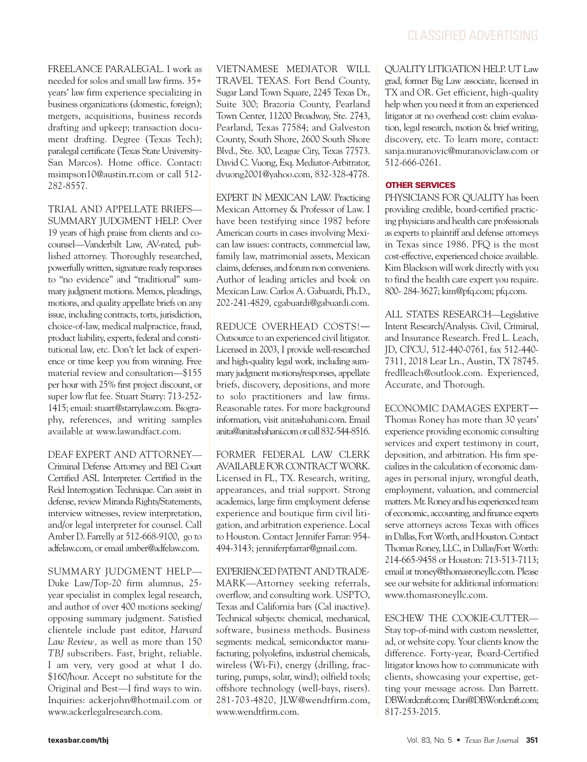FREELANCE PARALEGAL. I work as needed for solos and small law firms. 35+ years' law firm experience specializing in business organizations(domestic, foreign); mergers, acquisitions, business records drafting and upkeep; transaction document drafting. Degree (Texas Tech); paralegal certificate (Texas State University-San Marcos). Home office. Contact: msimpson10@austin.rr.com or call 512- 282-8557.

TRIAL AND APPELLATE BRIEFS— SUMMARY JUDGMENT HELP. Over 19 years of high praise from clients and cocounsel—Vanderbilt Law, AV-rated, published attorney. Thoroughly researched, powerfully written, signature ready responses to "no evidence" and "traditional" summary judgment motions. Memos, pleadings, motions, and quality appellate briefs on any issue, including contracts, torts, jurisdiction, choice-of-law, medical malpractice, fraud, product liability, experts, federal and constitutional law, etc. Don't let lack of experience or time keep you from winning. Free material review and consultation—\$155 per hour with 25% first project discount, or super low flat fee. Stuart Starry: 713-252- 1415; email: stuart@starrylaw.com. Biography, references, and writing samples available at www.lawandfact.com.

DEAF EXPERT AND ATTORNEY— Criminal Defense Attorney and BEI Court Certified ASL Interpreter. Certified in the Reid Interrogation Technique. Can assist in defense, review Miranda Rights/Statements, interview witnesses, review interpretation, and/or legal interpreter for counsel. Call Amber D. Farrelly at 512-668-9100, go to adfelaw.com, or email amber@adfelaw.com.

SUMMARY JUDGMENT HELP— Duke Law/Top-20 firm alumnus, 25 year specialist in complex legal research, and author of over 400 motions seeking/ opposing summary judgment. Satisfied clientele include past editor, *Harvard Law Review,* as well as more than 150 *TBJ* subscribers. Fast, bright, reliable. I am very, very good at what I do. \$160/hour. Accept no substitute for the Original and Best—I find ways to win. Inquiries: ackerjohn@hotmail.com or www.ackerlegalresearch.com.

VIETNAMESE MEDIATOR WILL TRAVEL TEXAS. Fort Bend County, Sugar Land Town Square, 2245 Texas Dr., Suite 300; Brazoria County, Pearland Town Center, 11200 Broadway, Ste. 2743, Pearland, Texas 77584; and Galveston County, South Shore, 2600 South Shore Blvd., Ste. 300, League City, Texas 77573. David C. Vuong, Esq. Mediator-Arbitrator, dvuong2001@yahoo.com, 832-328-4778.

EXPERT IN MEXICAN LAW. Practicing Mexican Attorney & Professor of Law. I have been testifying since 1987 before American courts in cases involving Mexican law issues: contracts, commercial law, family law, matrimonial assets, Mexican claims, defenses, and forum non conveniens. Author of leading articles and book on Mexican Law. Carlos A. Gabuardi, Ph.D., 202-241-4829, cgabuardi@gabuardi.com.

REDUCE OVERHEAD COSTS!― Outsource to an experienced civil litigator. Licensed in 2003, I provide well-researched and high-quality legal work, including summary judgment motions/responses, appellate briefs, discovery, depositions, and more to solo practitioners and law firms. Reasonable rates. For more background information, visit anitashahani.com. Email anita@anitashahani.comorcall832-544-8516.

FORMER FEDERAL LAW CLERK AVAILABLE FOR CONTRACT WORK. Licensed in FL, TX. Research, writing, appearances, and trial support. Strong academics, large firm employment defense experience and boutique firm civil litigation, and arbitration experience. Local to Houston. Contact Jennifer Farrar: 954- 494-3143; jenniferpfarrar@gmail.com.

# EXPERIENCEDPATENTANDTRADE-

MARK—Attorney seeking referrals, overflow, and consulting work. USPTO, Texas and California bars (Cal inactive). Technical subjects: chemical, mechanical, software, business methods. Business segments: medical, semiconductor manufacturing, polyolefins, industrial chemicals, wireless (Wi-Fi), energy (drilling, fracturing, pumps, solar, wind); oilfield tools; offshore technology (well-bays, risers). 281-703-4820, JLW@wendtfirm.com, www.wendtfirm.com.

QUALITY LITIGATION HELP. UT Law grad, former Big Law associate, licensed in TX and OR. Get efficient, high-quality help when you need it from an experienced litigator at no overhead cost: claim evaluation, legal research, motion & brief writing, discovery, etc. To learn more, contact: sanja.muranovic@muranoviclaw.com or 512-666-0261.

# **OTHER SERVICES**

PHYSICIANS FOR QUALITY has been providing credible, board-certified practicing physicians and health care professionals as experts to plaintiff and defense attorneys in Texas since 1986. PFQ is the most cost-effective, experienced choice available. Kim Blackson will work directly with you to find the health care expert you require. 800- 284-3627; kim@pfq.com; pfq.com.

ALL STATES RESEARCH—Legislative Intent Research/Analysis. Civil, Criminal, and Insurance Research. Fred L. Leach, JD, CPCU, 512-440-0761, fax 512-440- 7311, 2018 Lear Ln., Austin, TX 78745. fredlleach@outlook.com. Experienced, Accurate, and Thorough.

ECONOMIC DAMAGES EXPERT― Thomas Roney has more than 30 years' experience providing economic consulting services and expert testimony in court, deposition, and arbitration. His firm specializes in the calculation of economic damages in personal injury, wrongful death, employment, valuation, and commercial matters. Mr. Roney and his experienced team of economic, accounting, and finance experts serve attorneys across Texas with offices in Dallas, Fort Worth, and Houston. Contact Thomas Roney, LLC, in Dallas/Fort Worth: 214-665-9458 or Houston: 713-513-7113; email at troney@thomasroneyllc.com. Please see our website for additional information: www.thomasroneyllc.com.

ESCHEW THE COOKIE-CUTTER—

Stay top-of-mind with custom newsletter, ad, or website copy. Your clients know the difference. Forty-year, Board-Certified litigator knows how to communicate with clients, showcasing your expertise, getting your message across. Dan Barrett. DBWordcraft.com; Dan@DBWordcraft.com; 817-253-2015.